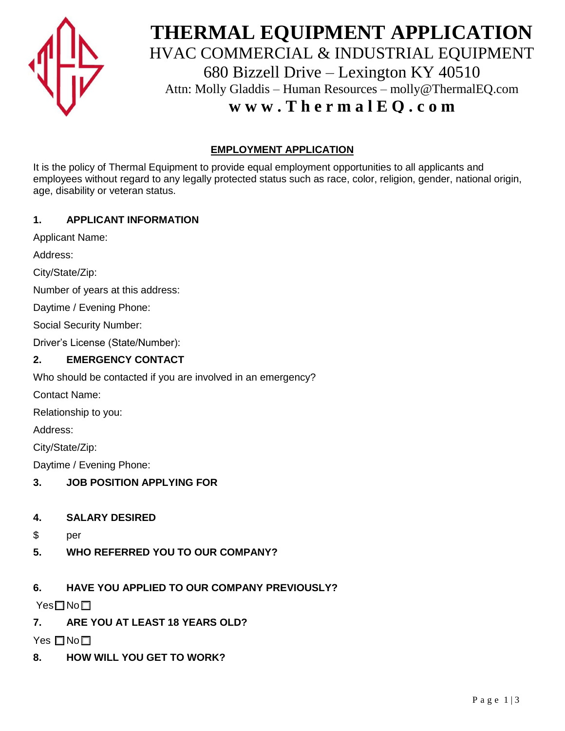

# **THERMAL EQUIPMENT APPLICATION** HVAC COMMERCIAL & INDUSTRIAL EQUIPMENT 680 Bizzell Drive – Lexington KY 40510 Attn: Molly Gladdis – Human Resources – molly@ThermalEQ.com **w w w . T h e r m a l E Q . c o m**

# **EMPLOYMENT APPLICATION**

It is the policy of Thermal Equipment to provide equal employment opportunities to all applicants and employees without regard to any legally protected status such as race, color, religion, gender, national origin, age, disability or veteran status.

## **1. APPLICANT INFORMATION**

Applicant Name:

Address:

City/State/Zip:

Number of years at this address:

Daytime / Evening Phone:

Social Security Number:

Driver's License (State/Number):

#### **2. EMERGENCY CONTACT**

Who should be contacted if you are involved in an emergency?

Contact Name:

Relationship to you:

Address:

City/State/Zip:

Daytime / Evening Phone:

- **3. JOB POSITION APPLYING FOR**
- **4. SALARY DESIRED**
- \$ per
- **5. WHO REFERRED YOU TO OUR COMPANY?**

# **6. HAVE YOU APPLIED TO OUR COMPANY PREVIOUSLY?**

Yes□No□

**7. ARE YOU AT LEAST 18 YEARS OLD?** 

Yes  $\square$  No $\square$ 

**8. HOW WILL YOU GET TO WORK?**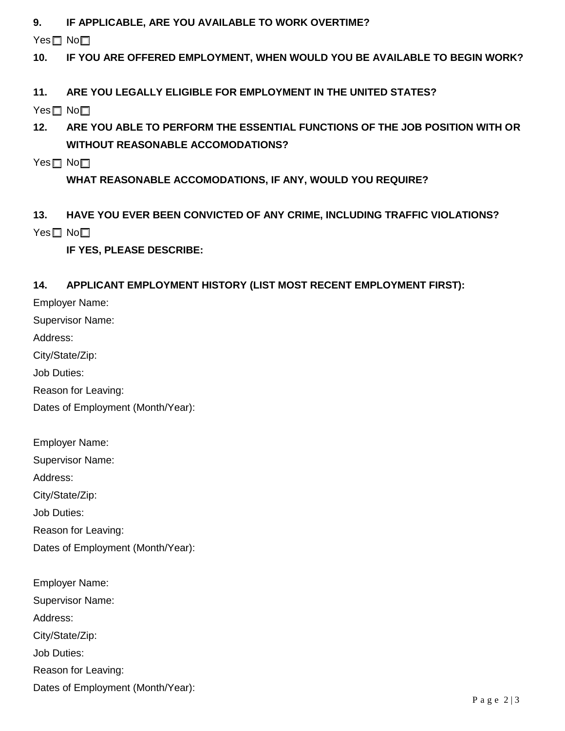**9. IF APPLICABLE, ARE YOU AVAILABLE TO WORK OVERTIME?** 

Yes□ No□

- **10. IF YOU ARE OFFERED EMPLOYMENT, WHEN WOULD YOU BE AVAILABLE TO BEGIN WORK?**
- **11. ARE YOU LEGALLY ELIGIBLE FOR EMPLOYMENT IN THE UNITED STATES?**

Yes□ No□

- **12. ARE YOU ABLE TO PERFORM THE ESSENTIAL FUNCTIONS OF THE JOB POSITION WITH OR WITHOUT REASONABLE ACCOMODATIONS?**
- Yes□ No□

**WHAT REASONABLE ACCOMODATIONS, IF ANY, WOULD YOU REQUIRE?** 

**13. HAVE YOU EVER BEEN CONVICTED OF ANY CRIME, INCLUDING TRAFFIC VIOLATIONS?**  Yes□ No□

**IF YES, PLEASE DESCRIBE:** 

## **14. APPLICANT EMPLOYMENT HISTORY (LIST MOST RECENT EMPLOYMENT FIRST):**

Employer Name:

Supervisor Name:

Address:

City/State/Zip:

Job Duties:

Reason for Leaving:

Dates of Employment (Month/Year):

Employer Name: Supervisor Name: Address: City/State/Zip: Job Duties: Reason for Leaving: Dates of Employment (Month/Year):

Employer Name: Supervisor Name: Address: City/State/Zip: Job Duties: Reason for Leaving: Dates of Employment (Month/Year):